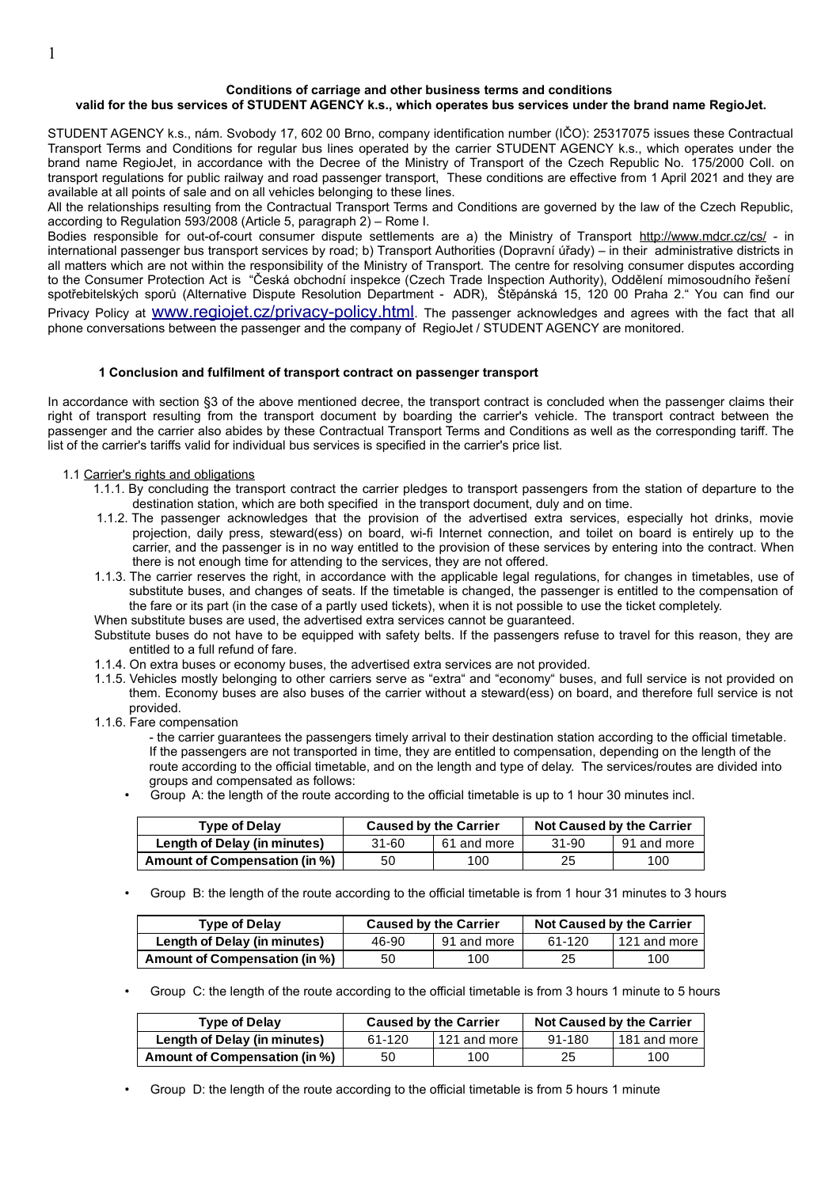### **Conditions of carriage and other business terms and conditions valid for the bus services of STUDENT AGENCY k.s., which operates bus services under the brand name RegioJet.**

STUDENT AGENCY k.s., nám. Svobody 17, 602 00 Brno, company identification number (IČO): 25317075 issues these Contractual Transport Terms and Conditions for regular bus lines operated by the carrier STUDENT AGENCY k.s., which operates under the brand name RegioJet, in accordance with the Decree of the Ministry of Transport of the Czech Republic No. 175/2000 Coll. on transport regulations for public railway and road passenger transport, These conditions are effective from 1 April 2021 and they are available at all points of sale and on all vehicles belonging to these lines.

All the relationships resulting from the Contractual Transport Terms and Conditions are governed by the law of the Czech Republic, according to Regulation 593/2008 (Article 5, paragraph 2) – Rome I.

Bodies responsible for out-of-court consumer dispute settlements are a) the Ministry of Transport<http://www.mdcr.cz/cs/> - in international passenger bus transport services by road; b) Transport Authorities (Dopravní úřady) – in their administrative districts in all matters which are not within the responsibility of the Ministry of Transport. The centre for resolving consumer disputes according to the Consumer Protection Act is "Česká obchodní inspekce (Czech Trade Inspection Authority), Oddělení mimosoudního řešení spotřebitelských sporů (Alternative Dispute Resolution Department - ADR), Štěpánská 15, 120 00 Praha 2." You can find our Privacy Policy at WWW.regiojet.cz/privacy-policy.html. The passenger acknowledges and agrees with the fact that all phone conversations between the passenger and the company of RegioJet / STUDENT AGENCY are monitored.

#### **1 Conclusion and fulfilment of transport contract on passenger transport**

In accordance with section §3 of the above mentioned decree, the transport contract is concluded when the passenger claims their right of transport resulting from the transport document by boarding the carrier's vehicle. The transport contract between the passenger and the carrier also abides by these Contractual Transport Terms and Conditions as well as the corresponding tariff. The list of the carrier's tariffs valid for individual bus services is specified in the carrier's price list.

#### 1.1 Carrier's rights and obligations

- 1.1.1. By concluding the transport contract the carrier pledges to transport passengers from the station of departure to the destination station, which are both specified in the transport document, duly and on time.
- 1.1.2. The passenger acknowledges that the provision of the advertised extra services, especially hot drinks, movie projection, daily press, steward(ess) on board, wi-fi Internet connection, and toilet on board is entirely up to the carrier, and the passenger is in no way entitled to the provision of these services by entering into the contract. When there is not enough time for attending to the services, they are not offered.
- 1.1.3. The carrier reserves the right, in accordance with the applicable legal regulations, for changes in timetables, use of substitute buses, and changes of seats. If the timetable is changed, the passenger is entitled to the compensation of the fare or its part (in the case of a partly used tickets), when it is not possible to use the ticket completely.

When substitute buses are used, the advertised extra services cannot be guaranteed.

Substitute buses do not have to be equipped with safety belts. If the passengers refuse to travel for this reason, they are entitled to a full refund of fare.

- 1.1.4. On extra buses or economy buses, the advertised extra services are not provided.
- 1.1.5. Vehicles mostly belonging to other carriers serve as "extra" and "economy" buses, and full service is not provided on them. Economy buses are also buses of the carrier without a steward(ess) on board, and therefore full service is not provided.
- 1.1.6. Fare compensation

- the carrier guarantees the passengers timely arrival to their destination station according to the official timetable. If the passengers are not transported in time, they are entitled to compensation, depending on the length of the route according to the official timetable, and on the length and type of delay. The services/routes are divided into groups and compensated as follows:

• Group A: the length of the route according to the official timetable is up to 1 hour 30 minutes incl.

| <b>Type of Delay</b>          | <b>Caused by the Carrier</b> |             | Not Caused by the Carrier |             |
|-------------------------------|------------------------------|-------------|---------------------------|-------------|
| Length of Delay (in minutes)  | 31-60                        | 61 and more | 31-90                     | 91 and more |
| Amount of Compensation (in %) | 50                           | 100         | 25                        | 100         |

• Group B: the length of the route according to the official timetable is from 1 hour 31 minutes to 3 hours

| <b>Type of Delay</b>          | <b>Caused by the Carrier</b> |             | <b>Not Caused by the Carrier</b> |                         |
|-------------------------------|------------------------------|-------------|----------------------------------|-------------------------|
| Length of Delay (in minutes)  | 46-90                        | 91 and more | 61-120                           | l 121 and more <b>l</b> |
| Amount of Compensation (in %) | 50                           | 100         | 25                               | 100                     |

• Group C: the length of the route according to the official timetable is from 3 hours 1 minute to 5 hours

| <b>Type of Delay</b>          | <b>Caused by the Carrier</b> |                  | Not Caused by the Carrier |                  |
|-------------------------------|------------------------------|------------------|---------------------------|------------------|
| Length of Delay (in minutes)  | 61-120                       | l 121 and more l | 91-180                    | l 181 and more l |
| Amount of Compensation (in %) | 50                           | 100              | 25                        | 100              |

• Group D: the length of the route according to the official timetable is from 5 hours 1 minute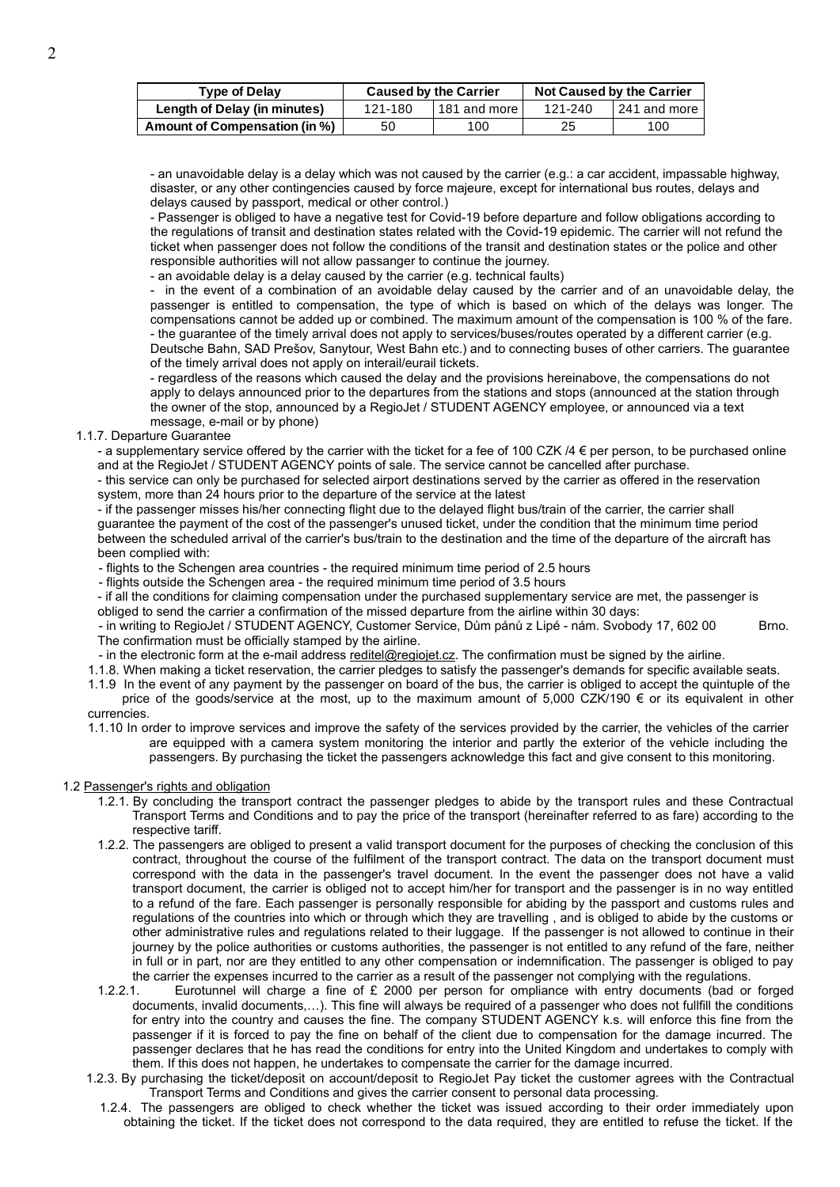| <b>Type of Delay</b>          | <b>Caused by the Carrier</b> |              | <b>Not Caused by the Carrier</b> |                  |
|-------------------------------|------------------------------|--------------|----------------------------------|------------------|
| Length of Delay (in minutes)  | 121-180                      | 181 and more | 121-240                          | l 241 and more I |
| Amount of Compensation (in %) | 50                           | 100          | 25                               | 100              |

- an unavoidable delay is a delay which was not caused by the carrier (e.g.: a car accident, impassable highway, disaster, or any other contingencies caused by force majeure, except for international bus routes, delays and delays caused by passport, medical or other control.)

- Passenger is obliged to have a negative test for Covid-19 before departure and follow obligations according to the regulations of transit and destination states related with the Covid-19 epidemic. The carrier will not refund the ticket when passenger does not follow the conditions of the transit and destination states or the police and other responsible authorities will not allow passanger to continue the journey.

- an avoidable delay is a delay caused by the carrier (e.g. technical faults)

- in the event of a combination of an avoidable delay caused by the carrier and of an unavoidable delay, the passenger is entitled to compensation, the type of which is based on which of the delays was longer. The compensations cannot be added up or combined. The maximum amount of the compensation is 100 % of the fare. - the guarantee of the timely arrival does not apply to services/buses/routes operated by a different carrier (e.g. Deutsche Bahn, SAD Prešov, Sanytour, West Bahn etc.) and to connecting buses of other carriers. The guarantee of the timely arrival does not apply on interail/eurail tickets.

- regardless of the reasons which caused the delay and the provisions hereinabove, the compensations do not apply to delays announced prior to the departures from the stations and stops (announced at the station through the owner of the stop, announced by a RegioJet / STUDENT AGENCY employee, or announced via a text message, e-mail or by phone)

## 1.1.7. Departure Guarantee

- a supplementary service offered by the carrier with the ticket for a fee of 100 CZK  $/4 \epsilon$  per person, to be purchased online and at the RegioJet / STUDENT AGENCY points of sale. The service cannot be cancelled after purchase.

- this service can only be purchased for selected airport destinations served by the carrier as offered in the reservation system, more than 24 hours prior to the departure of the service at the latest

- if the passenger misses his/her connecting flight due to the delayed flight bus/train of the carrier, the carrier shall guarantee the payment of the cost of the passenger's unused ticket, under the condition that the minimum time period between the scheduled arrival of the carrier's bus/train to the destination and the time of the departure of the aircraft has been complied with:

- flights to the Schengen area countries - the required minimum time period of 2.5 hours

- flights outside the Schengen area - the required minimum time period of 3.5 hours

- if all the conditions for claiming compensation under the purchased supplementary service are met, the passenger is obliged to send the carrier a confirmation of the missed departure from the airline within 30 days:

- in writing to RegioJet / STUDENT AGENCY, Customer Service, Dům pánů z Lipé - nám. Svobody 17, 602 00 Brno. The confirmation must be officially stamped by the airline.

- in the electronic form at the e-mail address [reditel@regiojet.cz.](mailto:reditel@regiojet.cz) The confirmation must be signed by the airline.

1.1.8. When making a ticket reservation, the carrier pledges to satisfy the passenger's demands for specific available seats.

1.1.9 In the event of any payment by the passenger on board of the bus, the carrier is obliged to accept the quintuple of the price of the goods/service at the most, up to the maximum amount of 5,000 CZK/190 € or its equivalent in other currencies.

1.1.10 In order to improve services and improve the safety of the services provided by the carrier, the vehicles of the carrier are equipped with a camera system monitoring the interior and partly the exterior of the vehicle including the passengers. By purchasing the ticket the passengers acknowledge this fact and give consent to this monitoring.

# 1.2 Passenger's rights and obligation

- 1.2.1. By concluding the transport contract the passenger pledges to abide by the transport rules and these Contractual Transport Terms and Conditions and to pay the price of the transport (hereinafter referred to as fare) according to the respective tariff.
- 1.2.2. The passengers are obliged to present a valid transport document for the purposes of checking the conclusion of this contract, throughout the course of the fulfilment of the transport contract. The data on the transport document must correspond with the data in the passenger's travel document. In the event the passenger does not have a valid transport document, the carrier is obliged not to accept him/her for transport and the passenger is in no way entitled to a refund of the fare. Each passenger is personally responsible for abiding by the passport and customs rules and regulations of the countries into which or through which they are travelling , and is obliged to abide by the customs or other administrative rules and regulations related to their luggage. If the passenger is not allowed to continue in their journey by the police authorities or customs authorities, the passenger is not entitled to any refund of the fare, neither in full or in part, nor are they entitled to any other compensation or indemnification. The passenger is obliged to pay the carrier the expenses incurred to the carrier as a result of the passenger not complying with the regulations.
- 1.2.2.1. Eurotunnel will charge a fine of £ 2000 per person for ompliance with entry documents (bad or forged documents, invalid documents,…). This fine will always be required of a passenger who does not fullfill the conditions for entry into the country and causes the fine. The company STUDENT AGENCY k.s. will enforce this fine from the passenger if it is forced to pay the fine on behalf of the client due to compensation for the damage incurred. The passenger declares that he has read the conditions for entry into the United Kingdom and undertakes to comply with them. If this does not happen, he undertakes to compensate the carrier for the damage incurred.
- 1.2.3. By purchasing the ticket/deposit on account/deposit to RegioJet Pay ticket the customer agrees with the Contractual Transport Terms and Conditions and gives the carrier consent to personal data processing.
	- 1.2.4. The passengers are obliged to check whether the ticket was issued according to their order immediately upon obtaining the ticket. If the ticket does not correspond to the data required, they are entitled to refuse the ticket. If the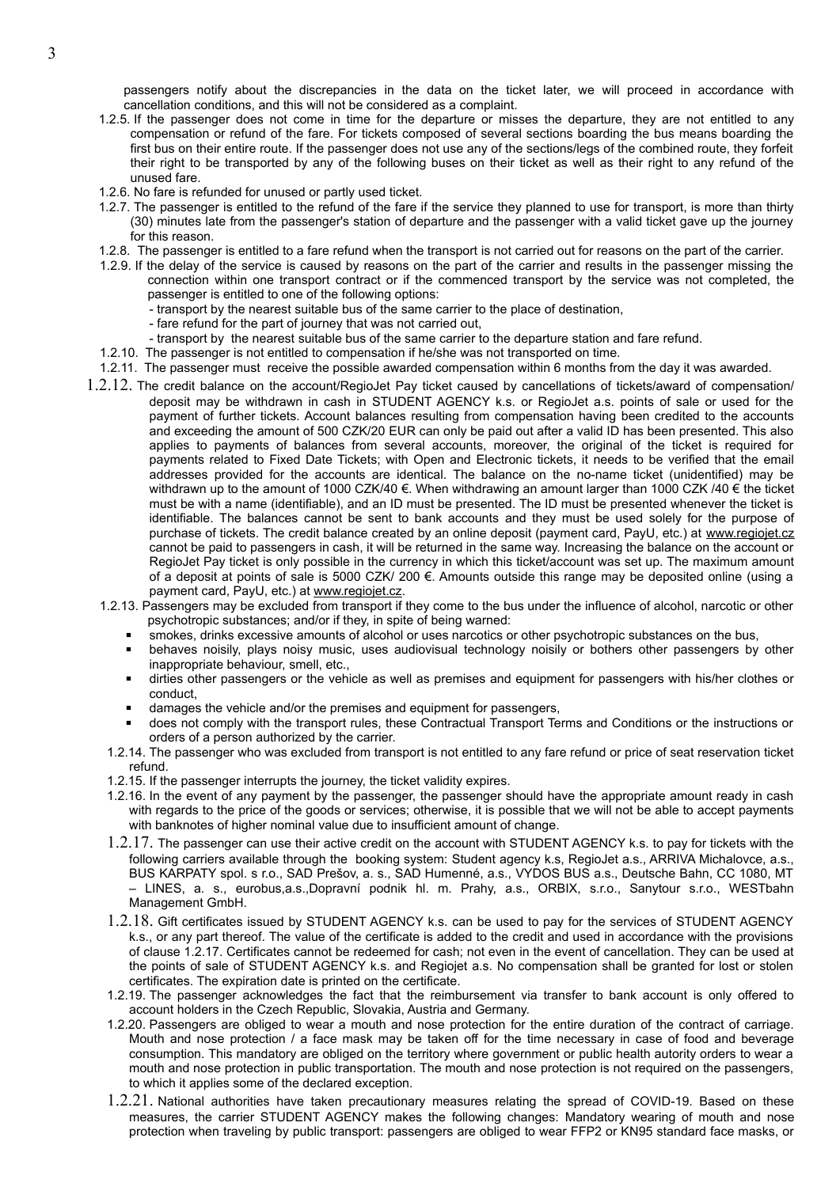passengers notify about the discrepancies in the data on the ticket later, we will proceed in accordance with cancellation conditions, and this will not be considered as a complaint.

- 1.2.5. If the passenger does not come in time for the departure or misses the departure, they are not entitled to any compensation or refund of the fare. For tickets composed of several sections boarding the bus means boarding the first bus on their entire route. If the passenger does not use any of the sections/legs of the combined route, they forfeit their right to be transported by any of the following buses on their ticket as well as their right to any refund of the unused fare.
- 1.2.6. No fare is refunded for unused or partly used ticket.
- 1.2.7. The passenger is entitled to the refund of the fare if the service they planned to use for transport, is more than thirty (30) minutes late from the passenger's station of departure and the passenger with a valid ticket gave up the journey for this reason.
- 1.2.8. The passenger is entitled to a fare refund when the transport is not carried out for reasons on the part of the carrier.
- 1.2.9. If the delay of the service is caused by reasons on the part of the carrier and results in the passenger missing the connection within one transport contract or if the commenced transport by the service was not completed, the passenger is entitled to one of the following options:
	- transport by the nearest suitable bus of the same carrier to the place of destination,
	- fare refund for the part of journey that was not carried out,
	- transport by the nearest suitable bus of the same carrier to the departure station and fare refund.
- 1.2.10. The passenger is not entitled to compensation if he/she was not transported on time.
- 1.2.11. The passenger must receive the possible awarded compensation within 6 months from the day it was awarded.
- 1.2.12. The credit balance on the account/RegioJet Pay ticket caused by cancellations of tickets/award of compensation/ deposit may be withdrawn in cash in STUDENT AGENCY k.s. or RegioJet a.s. points of sale or used for the payment of further tickets. Account balances resulting from compensation having been credited to the accounts and exceeding the amount of 500 CZK/20 EUR can only be paid out after a valid ID has been presented. This also applies to payments of balances from several accounts, moreover, the original of the ticket is required for payments related to Fixed Date Tickets; with Open and Electronic tickets, it needs to be verified that the email addresses provided for the accounts are identical. The balance on the no-name ticket (unidentified) may be withdrawn up to the amount of 1000 CZK/40 €. When withdrawing an amount larger than 1000 CZK /40 € the ticket must be with a name (identifiable), and an ID must be presented. The ID must be presented whenever the ticket is identifiable. The balances cannot be sent to bank accounts and they must be used solely for the purpose of purchase of tickets. The credit balance created by an online deposit (payment card, PayU, etc.) at [www.regiojet.cz](http://www.regiojet.cz/) cannot be paid to passengers in cash, it will be returned in the same way. Increasing the balance on the account or RegioJet Pay ticket is only possible in the currency in which this ticket/account was set up. The maximum amount of a deposit at points of sale is 5000 CZK/ 200 €. Amounts outside this range may be deposited online (using a payment card, PayU, etc.) at [www.regiojet.cz](http://www.regiojet.cz/).
	- 1.2.13. Passengers may be excluded from transport if they come to the bus under the influence of alcohol, narcotic or other psychotropic substances; and/or if they, in spite of being warned:
		- smokes, drinks excessive amounts of alcohol or uses narcotics or other psychotropic substances on the bus,
		- behaves noisily, plays noisy music, uses audiovisual technology noisily or bothers other passengers by other inappropriate behaviour, smell, etc.,
		- dirties other passengers or the vehicle as well as premises and equipment for passengers with his/her clothes or conduct,
		- damages the vehicle and/or the premises and equipment for passengers,
		- does not comply with the transport rules, these Contractual Transport Terms and Conditions or the instructions or orders of a person authorized by the carrier.
		- 1.2.14. The passenger who was excluded from transport is not entitled to any fare refund or price of seat reservation ticket refund.
		- 1.2.15. If the passenger interrupts the journey, the ticket validity expires.
		- 1.2.16. In the event of any payment by the passenger, the passenger should have the appropriate amount ready in cash with regards to the price of the goods or services; otherwise, it is possible that we will not be able to accept payments with banknotes of higher nominal value due to insufficient amount of change.
		- 1.2.17. The passenger can use their active credit on the account with STUDENT AGENCY k.s. to pay for tickets with the following carriers available through the booking system: Student agency k.s, RegioJet a.s., ARRIVA Michalovce, a.s., BUS KARPATY spol. s r.o., SAD Prešov, a. s., SAD Humenné, a.s., VYDOS BUS a.s., Deutsche Bahn, CC 1080, MT – LINES, a. s., eurobus,a.s.,Dopravní podnik hl. m. Prahy, a.s., ORBIX, s.r.o., Sanytour s.r.o., WESTbahn Management GmbH.
		- 1.2.18. Gift certificates issued by STUDENT AGENCY k.s. can be used to pay for the services of STUDENT AGENCY k.s., or any part thereof. The value of the certificate is added to the credit and used in accordance with the provisions of clause 1.2.17. Certificates cannot be redeemed for cash; not even in the event of cancellation. They can be used at the points of sale of STUDENT AGENCY k.s. and Regiojet a.s. No compensation shall be granted for lost or stolen certificates. The expiration date is printed on the certificate.
		- 1.2.19. The passenger acknowledges the fact that the reimbursement via transfer to bank account is only offered to account holders in the Czech Republic, Slovakia, Austria and Germany.
		- 1.2.20. Passengers are obliged to wear a mouth and nose protection for the entire duration of the contract of carriage. Mouth and nose protection / a face mask may be taken off for the time necessary in case of food and beverage consumption. This mandatory are obliged on the territory where government or public health autority orders to wear a mouth and nose protection in public transportation. The mouth and nose protection is not required on the passengers, to which it applies some of the declared exception.
		- 1.2.21. National authorities have taken precautionary measures relating the spread of COVID-19. Based on these measures, the carrier STUDENT AGENCY makes the following changes: Mandatory wearing of mouth and nose protection when traveling by public transport: passengers are obliged to wear FFP2 or KN95 standard face masks, or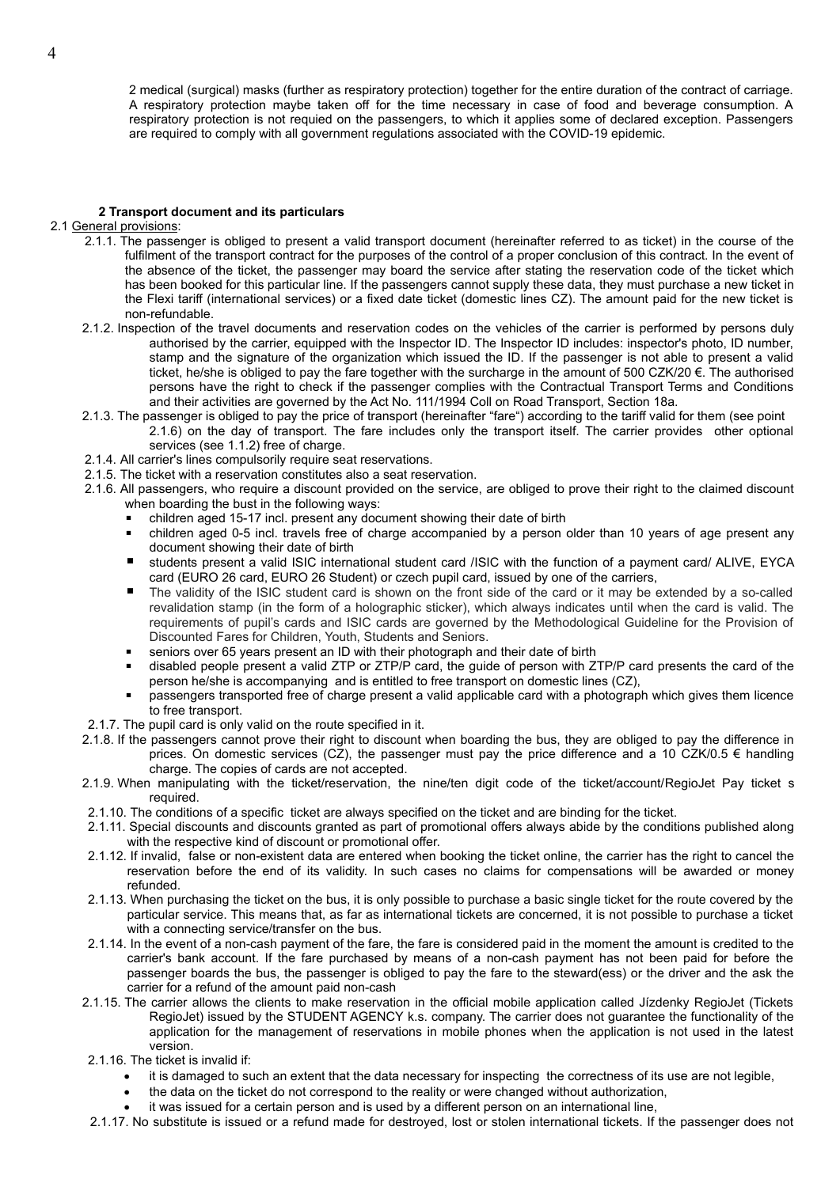2 medical (surgical) masks (further as respiratory protection) together for the entire duration of the contract of carriage. A respiratory protection maybe taken off for the time necessary in case of food and beverage consumption. A respiratory protection is not requied on the passengers, to which it applies some of declared exception. Passengers are required to comply with all government regulations associated with the COVID-19 epidemic.

## **2 Transport document and its particulars**

## 2.1 General provisions:

- 2.1.1. The passenger is obliged to present a valid transport document (hereinafter referred to as ticket) in the course of the fulfilment of the transport contract for the purposes of the control of a proper conclusion of this contract. In the event of the absence of the ticket, the passenger may board the service after stating the reservation code of the ticket which has been booked for this particular line. If the passengers cannot supply these data, they must purchase a new ticket in the Flexi tariff (international services) or a fixed date ticket (domestic lines CZ). The amount paid for the new ticket is non-refundable.
- 2.1.2. Inspection of the travel documents and reservation codes on the vehicles of the carrier is performed by persons duly authorised by the carrier, equipped with the Inspector ID. The Inspector ID includes: inspector's photo, ID number, stamp and the signature of the organization which issued the ID. If the passenger is not able to present a valid ticket, he/she is obliged to pay the fare together with the surcharge in the amount of 500 CZK/20 €. The authorised persons have the right to check if the passenger complies with the Contractual Transport Terms and Conditions and their activities are governed by the Act No. 111/1994 Coll on Road Transport, Section 18a.
- 2.1.3. The passenger is obliged to pay the price of transport (hereinafter "fare") according to the tariff valid for them (see point 2.1.6) on the day of transport. The fare includes only the transport itself. The carrier provides other optional services (see 1.1.2) free of charge.
- 2.1.4. All carrier's lines compulsorily require seat reservations.
- 2.1.5. The ticket with a reservation constitutes also a seat reservation.
- 2.1.6. All passengers, who require a discount provided on the service, are obliged to prove their right to the claimed discount when boarding the bust in the following ways:
	- children aged 15-17 incl. present any document showing their date of birth
	- children aged 0-5 incl. travels free of charge accompanied by a person older than 10 years of age present any document showing their date of birth
	- students present a valid ISIC international student card /ISIC with the function of a payment card/ ALIVE, EYCA card (EURO 26 card, EURO 26 Student) or czech pupil card, issued by one of the carriers,
	- The validity of the ISIC student card is shown on the front side of the card or it may be extended by a so-called revalidation stamp (in the form of a holographic sticker), which always indicates until when the card is valid. The requirements of pupil's cards and ISIC cards are governed by the Methodological Guideline for the Provision of Discounted Fares for Children, Youth, Students and Seniors.
	- seniors over 65 years present an ID with their photograph and their date of birth
	- disabled people present a valid ZTP or ZTP/P card, the guide of person with ZTP/P card presents the card of the person he/she is accompanying and is entitled to free transport on domestic lines (CZ),
	- passengers transported free of charge present a valid applicable card with a photograph which gives them licence to free transport.
- 2.1.7. The pupil card is only valid on the route specified in it.
- 2.1.8. If the passengers cannot prove their right to discount when boarding the bus, they are obliged to pay the difference in prices. On domestic services (CZ), the passenger must pay the price difference and a 10 CZK/0.5 € handling charge. The copies of cards are not accepted.
- 2.1.9. When manipulating with the ticket/reservation, the nine/ten digit code of the ticket/account/RegioJet Pay ticket s required.
- 2.1.10. The conditions of a specific ticket are always specified on the ticket and are binding for the ticket.
- 2.1.11. Special discounts and discounts granted as part of promotional offers always abide by the conditions published along with the respective kind of discount or promotional offer.
- 2.1.12. If invalid, false or non-existent data are entered when booking the ticket online, the carrier has the right to cancel the reservation before the end of its validity. In such cases no claims for compensations will be awarded or money refunded.
- 2.1.13. When purchasing the ticket on the bus, it is only possible to purchase a basic single ticket for the route covered by the particular service. This means that, as far as international tickets are concerned, it is not possible to purchase a ticket with a connecting service/transfer on the bus.
- 2.1.14. In the event of a non-cash payment of the fare, the fare is considered paid in the moment the amount is credited to the carrier's bank account. If the fare purchased by means of a non-cash payment has not been paid for before the passenger boards the bus, the passenger is obliged to pay the fare to the steward(ess) or the driver and the ask the carrier for a refund of the amount paid non-cash
- 2.1.15. The carrier allows the clients to make reservation in the official mobile application called Jízdenky RegioJet (Tickets RegioJet) issued by the STUDENT AGENCY k.s. company. The carrier does not guarantee the functionality of the application for the management of reservations in mobile phones when the application is not used in the latest version.
- 2.1.16. The ticket is invalid if:
	- it is damaged to such an extent that the data necessary for inspecting the correctness of its use are not legible,
	- the data on the ticket do not correspond to the reality or were changed without authorization,
	- it was issued for a certain person and is used by a different person on an international line,
- 2.1.17. No substitute is issued or a refund made for destroyed, lost or stolen international tickets. If the passenger does not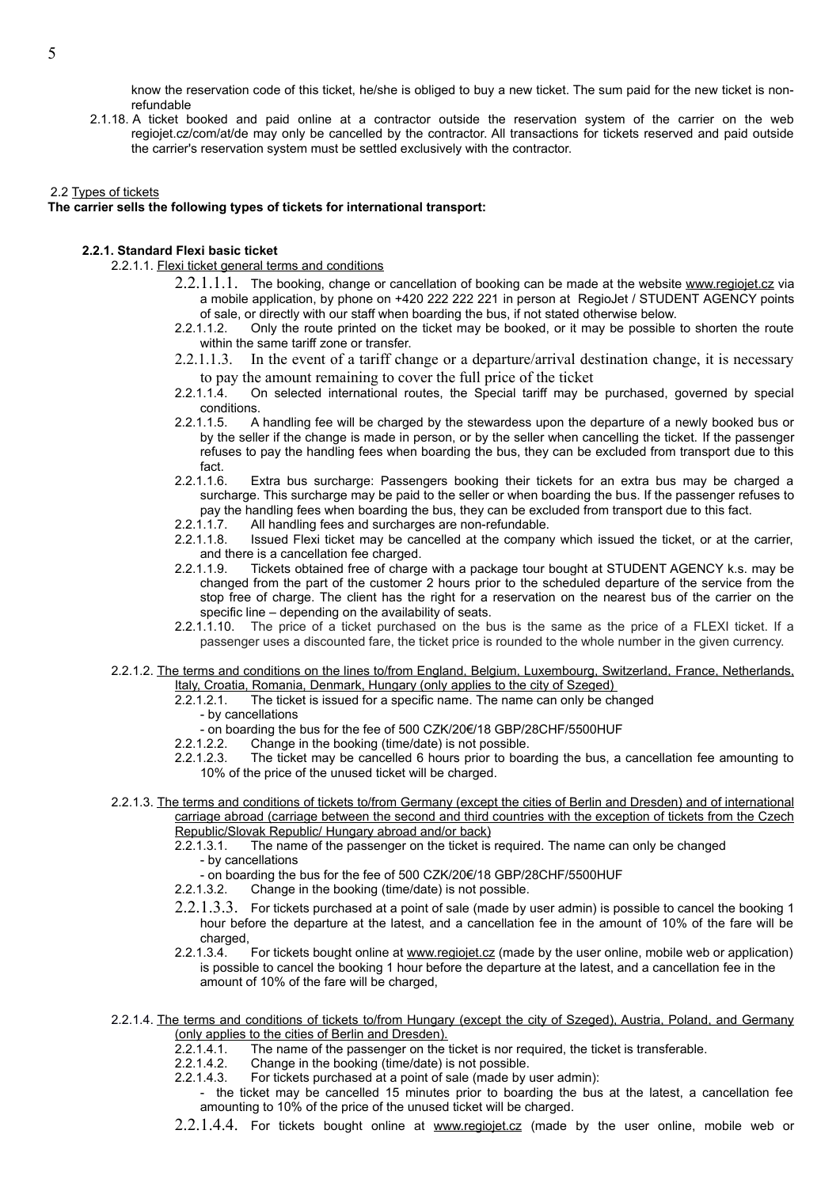know the reservation code of this ticket, he/she is obliged to buy a new ticket. The sum paid for the new ticket is nonrefundable

2.1.18. A ticket booked and paid online at a contractor outside the reservation system of the carrier on the web regiojet.cz/com/at/de may only be cancelled by the contractor. All transactions for tickets reserved and paid outside the carrier's reservation system must be settled exclusively with the contractor.

## 2.2 Types of tickets

# **The carrier sells the following types of tickets for international transport:**

## **2.2.1. Standard Flexi basic ticket**

2.2.1.1. Flexi ticket general terms and conditions

- 2.2.1.1.1. The booking, change or cancellation of booking can be made at the website [www.regiojet.cz](http://www.regiojet.cz/) via a mobile application, by phone on +420 222 222 221 in person at RegioJet / STUDENT AGENCY points of sale, or directly with our staff when boarding the bus, if not stated otherwise below.
- 2.2.1.1.2. Only the route printed on the ticket may be booked, or it may be possible to shorten the route within the same tariff zone or transfer.
- 2.2.1.1.3. In the event of a tariff change or a departure/arrival destination change, it is necessary
- to pay the amount remaining to cover the full price of the ticket 2.2.1.1.4. On selected international routes, the Special tariff may be 2.2.1.1.4. On selected international routes, the Special tariff may be purchased, governed by special conditions.
- 2.2.1.1.5. A handling fee will be charged by the stewardess upon the departure of a newly booked bus or by the seller if the change is made in person, or by the seller when cancelling the ticket. If the passenger refuses to pay the handling fees when boarding the bus, they can be excluded from transport due to this
- fact.<br>.2.1.1.6 Extra bus surcharge: Passengers booking their tickets for an extra bus may be charged a surcharge. This surcharge may be paid to the seller or when boarding the bus. If the passenger refuses to pay the handling fees when boarding the bus, they can be excluded from transport due to this fact.
- 2.2.1.1.7. All handling fees and surcharges are non-refundable.<br>2.2.1.1.8. Issued Flexi ticket may be cancelled at the compan
- Issued Flexi ticket may be cancelled at the company which issued the ticket, or at the carrier, and there is a cancellation fee charged.<br>2.2.1.1.9. Tickets obtained free of charge
- Tickets obtained free of charge with a package tour bought at STUDENT AGENCY k.s. may be changed from the part of the customer 2 hours prior to the scheduled departure of the service from the stop free of charge. The client has the right for a reservation on the nearest bus of the carrier on the specific line – depending on the availability of seats.
- 2.2.1.1.10. The price of a ticket purchased on the bus is the same as the price of a FLEXI ticket. If a passenger uses a discounted fare, the ticket price is rounded to the whole number in the given currency.
- 2.2.1.2. The terms and conditions on the lines to/from England, Belgium, Luxembourg, Switzerland, France, Netherlands, Italy, Croatia, Romania, Denmark, Hungary (only applies to the city of Szeged)
	- 2.2.1.2.1. The ticket is issued for a specific name. The name can only be changed
		- by cancellations
		- on boarding the bus for the fee of 500 CZK/20€/18 GBP/28CHF/5500HUF
	- 2.2.1.2.2. Change in the booking (time/date) is not possible.
	- 2.2.1.2.3. The ticket may be cancelled 6 hours prior to boarding the bus, a cancellation fee amounting to 10% of the price of the unused ticket will be charged.
- 2.2.1.3. The terms and conditions of tickets to/from Germany (except the cities of Berlin and Dresden) and of international carriage abroad (carriage between the second and third countries with the exception of tickets from the Czech Republic/Slovak Republic/ Hungary abroad and/or back)
	- 2.2.1.3.1. The name of the passenger on the ticket is required. The name can only be changed - by cancellations
		- on boarding the bus for the fee of 500 CZK/20€/18 GBP/28CHF/5500HUF
	- 2.2.1.3.2. Change in the booking (time/date) is not possible.
	- $2.2.1.3.3.$  For tickets purchased at a point of sale (made by user admin) is possible to cancel the booking 1 hour before the departure at the latest, and a cancellation fee in the amount of 10% of the fare will be charged
	- 2.2.1.3.4. For tickets bought online at [www.regiojet.cz](http://www.regiojet.cz/) (made by the user online, mobile web or application) is possible to cancel the booking 1 hour before the departure at the latest, and a cancellation fee in the amount of 10% of the fare will be charged,
- 2.2.1.4. The terms and conditions of tickets to/from Hungary (except the city of Szeged), Austria, Poland, and Germany (only applies to the cities of Berlin and Dresden).
	- 2.2.1.4.1. The name of the passenger on the ticket is nor required, the ticket is transferable.
	- 2.2.1.4.2. Change in the booking (time/date) is not possible.
	- 2.2.1.4.3. For tickets purchased at a point of sale (made by user admin):
		- the ticket may be cancelled 15 minutes prior to boarding the bus at the latest, a cancellation fee amounting to 10% of the price of the unused ticket will be charged.
	- 2.2.1.4.4. For tickets bought online at [www.regiojet.cz](http://www.regiojet.cz/) (made by the user online, mobile web or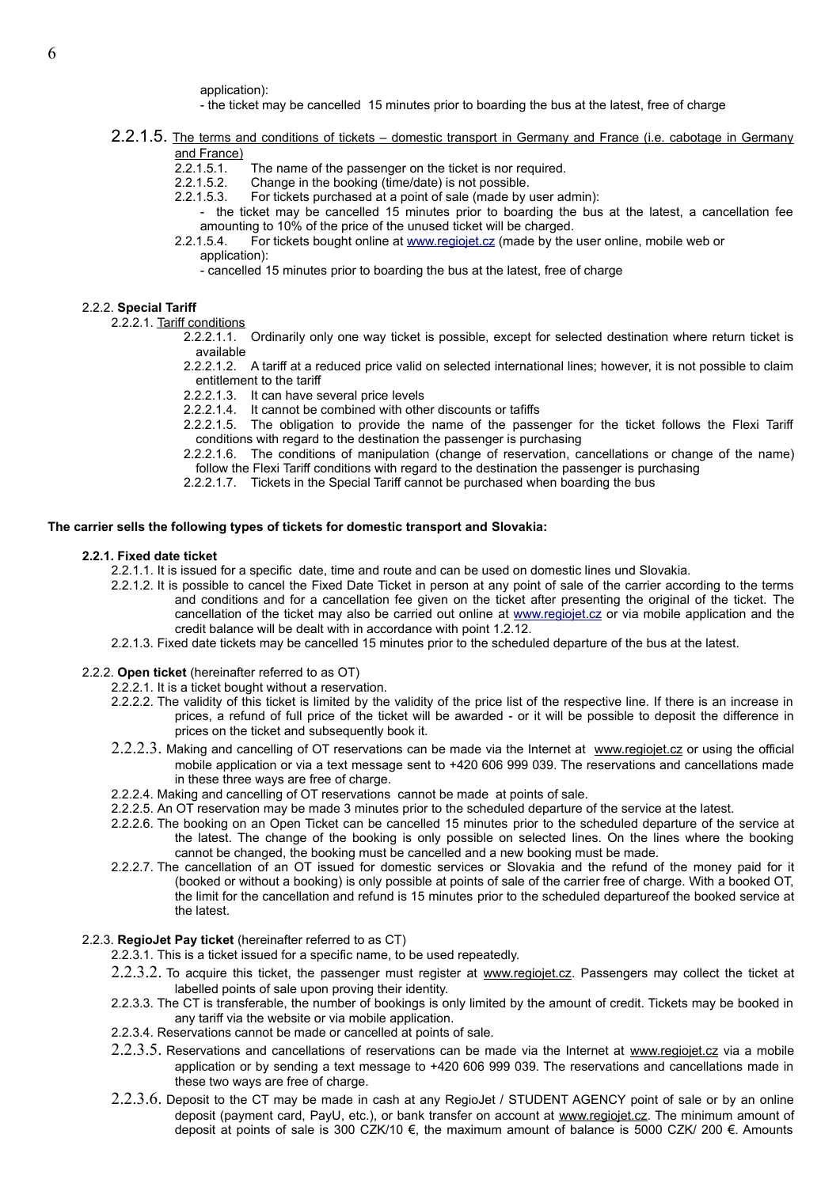application):

- the ticket may be cancelled 15 minutes prior to boarding the bus at the latest, free of charge
- 2.2.1.5. The terms and conditions of tickets domestic transport in Germany and France (i.e. cabotage in Germany and France)
	- 2.2.1.5.1. The name of the passenger on the ticket is nor required.<br>2.2.1.5.2. Change in the booking (time/date) is not possible.
	- Change in the booking (time/date) is not possible.
	- 2.2.1.5.3. For tickets purchased at a point of sale (made by user admin):
	- the ticket may be cancelled 15 minutes prior to boarding the bus at the latest, a cancellation fee amounting to 10% of the price of the unused ticket will be charged.<br>2.2.1.5.4. For tickets bought online at www.regiojet.cz (made by the
	- 2.2.1.5.4. For tickets bought online at [www.regiojet.cz](http://www.regiojet.cz/) (made by the user online, mobile web or application):
		- cancelled 15 minutes prior to boarding the bus at the latest, free of charge

#### 2.2.2. **Special Tariff**

2.2.2.1. Tariff conditions

- 2.2.2.1.1. Ordinarily only one way ticket is possible, except for selected destination where return ticket is available
- 2.2.2.1.2. A tariff at a reduced price valid on selected international lines; however, it is not possible to claim entitlement to the tariff
- 2.2.2.1.3. It can have several price levels
- 2.2.2.1.4. It cannot be combined with other discounts or tafiffs
- 2.2.2.1.5. The obligation to provide the name of the passenger for the ticket follows the Flexi Tariff conditions with regard to the destination the passenger is purchasing
- 2.2.2.1.6. The conditions of manipulation (change of reservation, cancellations or change of the name) follow the Flexi Tariff conditions with regard to the destination the passenger is purchasing
- 2.2.2.1.7. Tickets in the Special Tariff cannot be purchased when boarding the bus

#### **The carrier sells the following types of tickets for domestic transport and Slovakia:**

#### **2.2.1. Fixed date ticket**

- 2.2.1.1. It is issued for a specific date, time and route and can be used on domestic lines und Slovakia.
- 2.2.1.2. It is possible to cancel the Fixed Date Ticket in person at any point of sale of the carrier according to the terms and conditions and for a cancellation fee given on the ticket after presenting the original of the ticket. The cancellation of the ticket may also be carried out online at [www.regiojet.cz](http://www.regiojet.cz/) or via mobile application and the credit balance will be dealt with in accordance with point 1.2.12.
- 2.2.1.3. Fixed date tickets may be cancelled 15 minutes prior to the scheduled departure of the bus at the latest.

#### 2.2.2. **Open ticket** (hereinafter referred to as OT)

- 2.2.2.1. It is a ticket bought without a reservation.
- 2.2.2.2. The validity of this ticket is limited by the validity of the price list of the respective line. If there is an increase in prices, a refund of full price of the ticket will be awarded - or it will be possible to deposit the difference in prices on the ticket and subsequently book it.
- 2.2.2.3. Making and cancelling of OT reservations can be made via the Internet at [www.regiojet.cz](http://www.regiojet.cz/) or using the official mobile application or via a text message sent to +420 606 999 039. The reservations and cancellations made in these three ways are free of charge.
- 2.2.2.4. Making and cancelling of OT reservations cannot be made at points of sale.
- 2.2.2.5. An OT reservation may be made 3 minutes prior to the scheduled departure of the service at the latest.
- 2.2.2.6. The booking on an Open Ticket can be cancelled 15 minutes prior to the scheduled departure of the service at the latest. The change of the booking is only possible on selected lines. On the lines where the booking cannot be changed, the booking must be cancelled and a new booking must be made.
- 2.2.2.7. The cancellation of an OT issued for domestic services or Slovakia and the refund of the money paid for it (booked or without a booking) is only possible at points of sale of the carrier free of charge. With a booked OT, the limit for the cancellation and refund is 15 minutes prior to the scheduled departureof the booked service at the latest.

#### 2.2.3. **RegioJet Pay ticket** (hereinafter referred to as CT)

- 2.2.3.1. This is a ticket issued for a specific name, to be used repeatedly.
- 2.2.3.2. To acquire this ticket, the passenger must register at [www.regiojet.cz](http://www.regiojet.cz/). Passengers may collect the ticket at labelled points of sale upon proving their identity.
- 2.2.3.3. The CT is transferable, the number of bookings is only limited by the amount of credit. Tickets may be booked in any tariff via the website or via mobile application.
- 2.2.3.4. Reservations cannot be made or cancelled at points of sale.
- 2.2.3.5. Reservations and cancellations of reservations can be made via the Internet at [www.regiojet.cz](http://www.regiojet.cz/) via a mobile application or by sending a text message to +420 606 999 039. The reservations and cancellations made in these two ways are free of charge.
- 2.2.3.6. Deposit to the CT may be made in cash at any RegioJet / STUDENT AGENCY point of sale or by an online deposit (payment card, PayU, etc.), or bank transfer on account at [www.regiojet.cz.](http://www.regiojet.cz/) The minimum amount of deposit at points of sale is 300 CZK/10 €, the maximum amount of balance is 5000 CZK/ 200 €. Amounts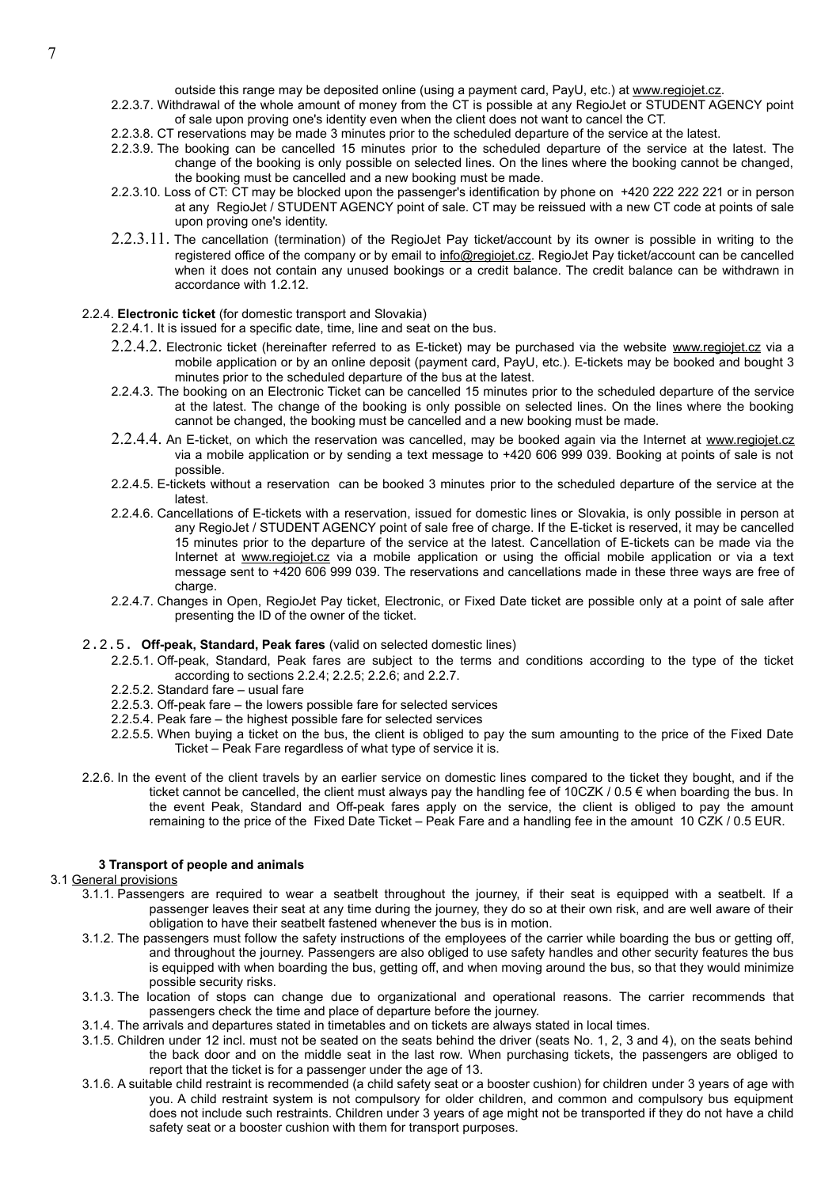outside this range may be deposited online (using a payment card, PayU, etc.) at [www.regiojet.cz](http://www.regiojet.cz/).

- 2.2.3.7. Withdrawal of the whole amount of money from the CT is possible at any RegioJet or STUDENT AGENCY point of sale upon proving one's identity even when the client does not want to cancel the CT.
- 2.2.3.8. CT reservations may be made 3 minutes prior to the scheduled departure of the service at the latest.
- 2.2.3.9. The booking can be cancelled 15 minutes prior to the scheduled departure of the service at the latest. The change of the booking is only possible on selected lines. On the lines where the booking cannot be changed, the booking must be cancelled and a new booking must be made.
- 2.2.3.10. Loss of CT: CT may be blocked upon the passenger's identification by phone on +420 222 222 221 or in person at any RegioJet / STUDENT AGENCY point of sale. CT may be reissued with a new CT code at points of sale upon proving one's identity.
- $2.2.3.11$ . The cancellation (termination) of the RegioJet Pay ticket/account by its owner is possible in writing to the registered office of the company or by email to [info@regiojet.cz](mailto:info@regiojet.cz). RegioJet Pay ticket/account can be cancelled when it does not contain any unused bookings or a credit balance. The credit balance can be withdrawn in accordance with 1.2.12.

## 2.2.4. **Electronic ticket** (for domestic transport and Slovakia)

2.2.4.1. It is issued for a specific date, time, line and seat on the bus.

- 2.2.4.2. Electronic ticket (hereinafter referred to as E-ticket) may be purchased via the website [www.regiojet.cz](http://www.regiojet.cz/) via a mobile application or by an online deposit (payment card, PayU, etc.). E-tickets may be booked and bought 3 minutes prior to the scheduled departure of the bus at the latest.
- 2.2.4.3. The booking on an Electronic Ticket can be cancelled 15 minutes prior to the scheduled departure of the service at the latest. The change of the booking is only possible on selected lines. On the lines where the booking cannot be changed, the booking must be cancelled and a new booking must be made.
- 2.2.4.4. An E-ticket, on which the reservation was cancelled, may be booked again via the Internet at [www.regiojet.cz](http://www.regiojet.cz/) via a mobile application or by sending a text message to +420 606 999 039. Booking at points of sale is not possible.
- 2.2.4.5. E-tickets without a reservation can be booked 3 minutes prior to the scheduled departure of the service at the latest.
- 2.2.4.6. Cancellations of E-tickets with a reservation, issued for domestic lines or Slovakia, is only possible in person at any RegioJet / STUDENT AGENCY point of sale free of charge. If the E-ticket is reserved, it may be cancelled 15 minutes prior to the departure of the service at the latest. Cancellation of E-tickets can be made via the Internet at [www.regiojet.cz](http://www.regiojet.cz/) via a mobile application or using the official mobile application or via a text message sent to +420 606 999 039. The reservations and cancellations made in these three ways are free of charge.
- 2.2.4.7. Changes in Open, RegioJet Pay ticket, Electronic, or Fixed Date ticket are possible only at a point of sale after presenting the ID of the owner of the ticket.

### 2.2.5. **Off-peak, Standard, Peak fares** (valid on selected domestic lines)

- 2.2.5.1. Off-peak, Standard, Peak fares are subject to the terms and conditions according to the type of the ticket according to sections 2.2.4; 2.2.5; 2.2.6; and 2.2.7.
- 2.2.5.2. Standard fare usual fare
- 2.2.5.3. Off-peak fare the lowers possible fare for selected services
- 2.2.5.4. Peak fare the highest possible fare for selected services
- 2.2.5.5. When buying a ticket on the bus, the client is obliged to pay the sum amounting to the price of the Fixed Date Ticket – Peak Fare regardless of what type of service it is.
- 2.2.6. In the event of the client travels by an earlier service on domestic lines compared to the ticket they bought, and if the ticket cannot be cancelled, the client must always pay the handling fee of 10CZK / 0.5 € when boarding the bus. In the event Peak, Standard and Off-peak fares apply on the service, the client is obliged to pay the amount remaining to the price of the Fixed Date Ticket – Peak Fare and a handling fee in the amount 10 CZK / 0.5 EUR.

## **3 Transport of people and animals**

## 3.1 General provisions

- 3.1.1. Passengers are required to wear a seatbelt throughout the journey, if their seat is equipped with a seatbelt. If a passenger leaves their seat at any time during the journey, they do so at their own risk, and are well aware of their obligation to have their seatbelt fastened whenever the bus is in motion.
- 3.1.2. The passengers must follow the safety instructions of the employees of the carrier while boarding the bus or getting off, and throughout the journey. Passengers are also obliged to use safety handles and other security features the bus is equipped with when boarding the bus, getting off, and when moving around the bus, so that they would minimize possible security risks.
- 3.1.3. The location of stops can change due to organizational and operational reasons. The carrier recommends that passengers check the time and place of departure before the journey.
- 3.1.4. The arrivals and departures stated in timetables and on tickets are always stated in local times.
- 3.1.5. Children under 12 incl. must not be seated on the seats behind the driver (seats No. 1, 2, 3 and 4), on the seats behind the back door and on the middle seat in the last row. When purchasing tickets, the passengers are obliged to report that the ticket is for a passenger under the age of 13.
- 3.1.6. A suitable child restraint is recommended (a child safety seat or a booster cushion) for children under 3 years of age with you. A child restraint system is not compulsory for older children, and common and compulsory bus equipment does not include such restraints. Children under 3 years of age might not be transported if they do not have a child safety seat or a booster cushion with them for transport purposes.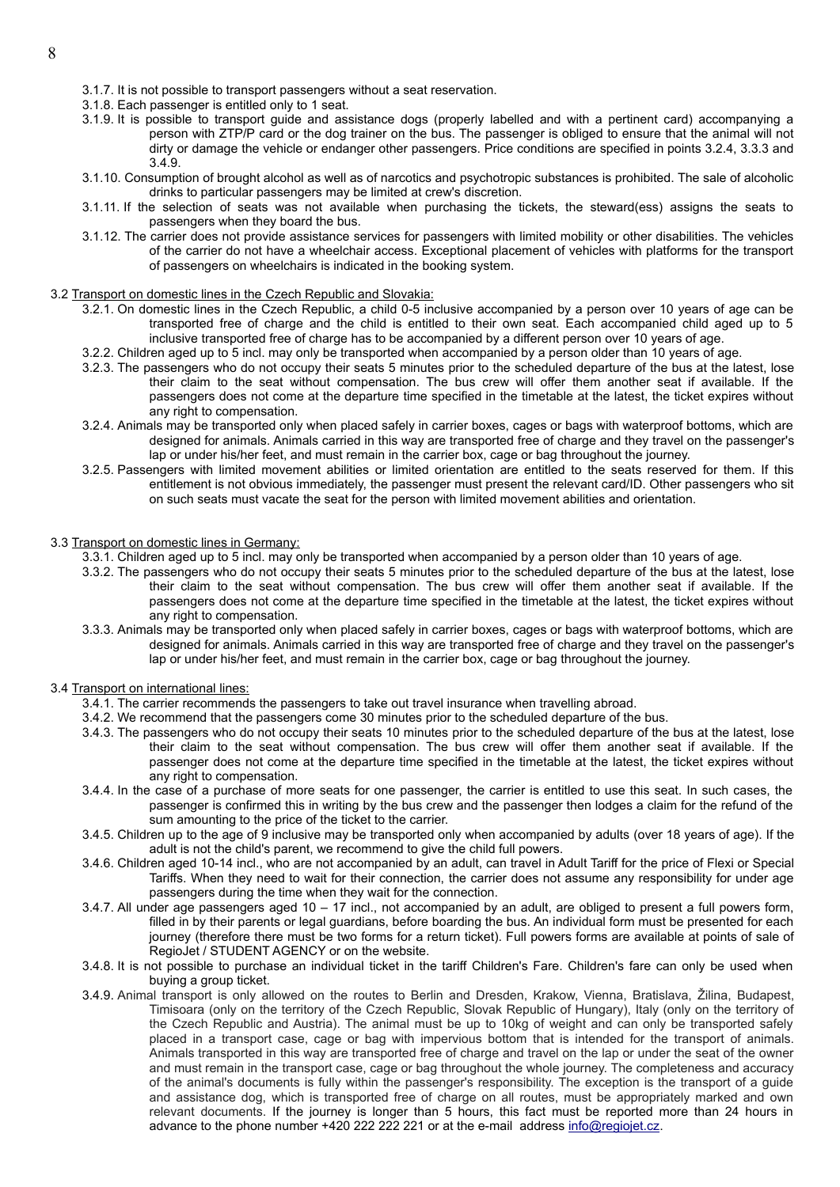- 3.1.7. It is not possible to transport passengers without a seat reservation.
- 3.1.8. Each passenger is entitled only to 1 seat.
- 3.1.9. It is possible to transport guide and assistance dogs (properly labelled and with a pertinent card) accompanying a person with ZTP/P card or the dog trainer on the bus. The passenger is obliged to ensure that the animal will not dirty or damage the vehicle or endanger other passengers. Price conditions are specified in points 3.2.4, 3.3.3 and 3.4.9.
- 3.1.10. Consumption of brought alcohol as well as of narcotics and psychotropic substances is prohibited. The sale of alcoholic drinks to particular passengers may be limited at crew's discretion.
- 3.1.11. If the selection of seats was not available when purchasing the tickets, the steward(ess) assigns the seats to passengers when they board the bus.
- 3.1.12. The carrier does not provide assistance services for passengers with limited mobility or other disabilities. The vehicles of the carrier do not have a wheelchair access. Exceptional placement of vehicles with platforms for the transport of passengers on wheelchairs is indicated in the booking system.
- 3.2 Transport on domestic lines in the Czech Republic and Slovakia:
	- 3.2.1. On domestic lines in the Czech Republic, a child 0-5 inclusive accompanied by a person over 10 years of age can be transported free of charge and the child is entitled to their own seat. Each accompanied child aged up to 5 inclusive transported free of charge has to be accompanied by a different person over 10 years of age.
	- 3.2.2. Children aged up to 5 incl. may only be transported when accompanied by a person older than 10 years of age.
	- 3.2.3. The passengers who do not occupy their seats 5 minutes prior to the scheduled departure of the bus at the latest, lose their claim to the seat without compensation. The bus crew will offer them another seat if available. If the passengers does not come at the departure time specified in the timetable at the latest, the ticket expires without any right to compensation.
	- 3.2.4. Animals may be transported only when placed safely in carrier boxes, cages or bags with waterproof bottoms, which are designed for animals. Animals carried in this way are transported free of charge and they travel on the passenger's lap or under his/her feet, and must remain in the carrier box, cage or bag throughout the journey.
	- 3.2.5. Passengers with limited movement abilities or limited orientation are entitled to the seats reserved for them. If this entitlement is not obvious immediately, the passenger must present the relevant card/ID. Other passengers who sit on such seats must vacate the seat for the person with limited movement abilities and orientation.

### 3.3 Transport on domestic lines in Germany:

- 3.3.1. Children aged up to 5 incl. may only be transported when accompanied by a person older than 10 years of age.
	- 3.3.2. The passengers who do not occupy their seats 5 minutes prior to the scheduled departure of the bus at the latest, lose their claim to the seat without compensation. The bus crew will offer them another seat if available. If the passengers does not come at the departure time specified in the timetable at the latest, the ticket expires without any right to compensation.
- 3.3.3. Animals may be transported only when placed safely in carrier boxes, cages or bags with waterproof bottoms, which are designed for animals. Animals carried in this way are transported free of charge and they travel on the passenger's lap or under his/her feet, and must remain in the carrier box, cage or bag throughout the journey.

#### 3.4 Transport on international lines:

- 3.4.1. The carrier recommends the passengers to take out travel insurance when travelling abroad.
- 3.4.2. We recommend that the passengers come 30 minutes prior to the scheduled departure of the bus.
- 3.4.3. The passengers who do not occupy their seats 10 minutes prior to the scheduled departure of the bus at the latest, lose their claim to the seat without compensation. The bus crew will offer them another seat if available. If the passenger does not come at the departure time specified in the timetable at the latest, the ticket expires without any right to compensation.
- 3.4.4. In the case of a purchase of more seats for one passenger, the carrier is entitled to use this seat. In such cases, the passenger is confirmed this in writing by the bus crew and the passenger then lodges a claim for the refund of the sum amounting to the price of the ticket to the carrier.
- 3.4.5. Children up to the age of 9 inclusive may be transported only when accompanied by adults (over 18 years of age). If the adult is not the child's parent, we recommend to give the child full powers.
- 3.4.6. Children aged 10-14 incl., who are not accompanied by an adult, can travel in Adult Tariff for the price of Flexi or Special Tariffs. When they need to wait for their connection, the carrier does not assume any responsibility for under age passengers during the time when they wait for the connection.
- 3.4.7. All under age passengers aged 10 17 incl., not accompanied by an adult, are obliged to present a full powers form, filled in by their parents or legal guardians, before boarding the bus. An individual form must be presented for each journey (therefore there must be two forms for a return ticket). Full powers forms are available at points of sale of RegioJet / STUDENT AGENCY or on the website.
- 3.4.8. It is not possible to purchase an individual ticket in the tariff Children's Fare. Children's fare can only be used when buying a group ticket.
- 3.4.9. Animal transport is only allowed on the routes to Berlin and Dresden, Krakow, Vienna, Bratislava, Žilina, Budapest, Timisoara (only on the territory of the Czech Republic, Slovak Republic of Hungary), Italy (only on the territory of the Czech Republic and Austria). The animal must be up to 10kg of weight and can only be transported safely placed in a transport case, cage or bag with impervious bottom that is intended for the transport of animals. Animals transported in this way are transported free of charge and travel on the lap or under the seat of the owner and must remain in the transport case, cage or bag throughout the whole journey. The completeness and accuracy of the animal's documents is fully within the passenger's responsibility. The exception is the transport of a guide and assistance dog, which is transported free of charge on all routes, must be appropriately marked and own relevant documents. If the journey is longer than 5 hours, this fact must be reported more than 24 hours in advance to the phone number +420 222 222 221 or at the e-mail address [info@regiojet.cz.](mailto:info@regiojet.cz)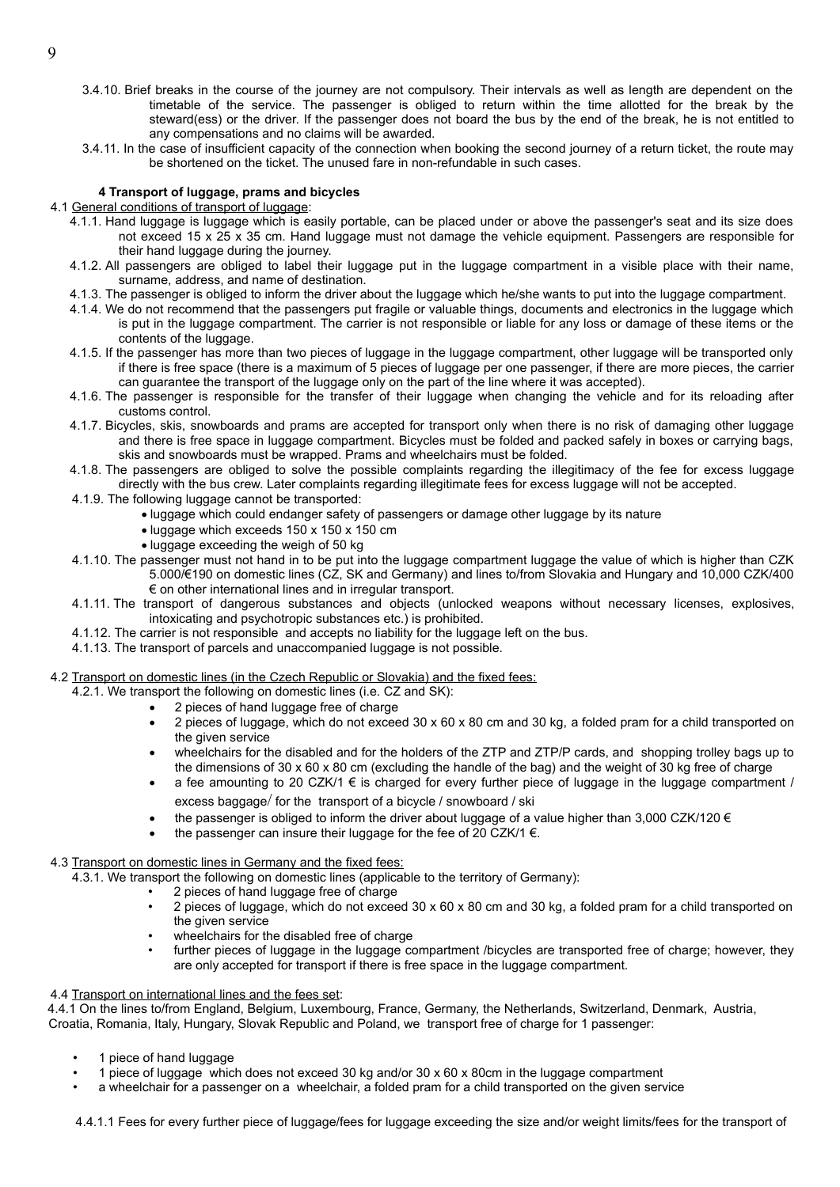- 3.4.10. Brief breaks in the course of the journey are not compulsory. Their intervals as well as length are dependent on the timetable of the service. The passenger is obliged to return within the time allotted for the break by the steward(ess) or the driver. If the passenger does not board the bus by the end of the break, he is not entitled to any compensations and no claims will be awarded.
- 3.4.11. In the case of insufficient capacity of the connection when booking the second journey of a return ticket, the route may be shortened on the ticket. The unused fare in non-refundable in such cases.

## **4 Transport of luggage, prams and bicycles**

# 4.1 General conditions of transport of luggage:

- 4.1.1. Hand luggage is luggage which is easily portable, can be placed under or above the passenger's seat and its size does not exceed 15 x 25 x 35 cm. Hand luggage must not damage the vehicle equipment. Passengers are responsible for their hand luggage during the journey.
- 4.1.2. All passengers are obliged to label their luggage put in the luggage compartment in a visible place with their name, surname, address, and name of destination.
- 4.1.3. The passenger is obliged to inform the driver about the luggage which he/she wants to put into the luggage compartment.
- 4.1.4. We do not recommend that the passengers put fragile or valuable things, documents and electronics in the luggage which is put in the luggage compartment. The carrier is not responsible or liable for any loss or damage of these items or the contents of the luggage.
- 4.1.5. If the passenger has more than two pieces of luggage in the luggage compartment, other luggage will be transported only if there is free space (there is a maximum of 5 pieces of luggage per one passenger, if there are more pieces, the carrier can guarantee the transport of the luggage only on the part of the line where it was accepted).
- 4.1.6. The passenger is responsible for the transfer of their luggage when changing the vehicle and for its reloading after customs control.
- 4.1.7. Bicycles, skis, snowboards and prams are accepted for transport only when there is no risk of damaging other luggage and there is free space in luggage compartment. Bicycles must be folded and packed safely in boxes or carrying bags, skis and snowboards must be wrapped. Prams and wheelchairs must be folded.
- 4.1.8. The passengers are obliged to solve the possible complaints regarding the illegitimacy of the fee for excess luggage directly with the bus crew. Later complaints regarding illegitimate fees for excess luggage will not be accepted.
- 4.1.9. The following luggage cannot be transported:
	- luggage which could endanger safety of passengers or damage other luggage by its nature
		- luggage which exceeds 150 x 150 x 150 cm
		- luggage exceeding the weigh of 50 kg
- 4.1.10. The passenger must not hand in to be put into the luggage compartment luggage the value of which is higher than CZK 5.000/€190 on domestic lines (CZ, SK and Germany) and lines to/from Slovakia and Hungary and 10,000 CZK/400 € on other international lines and in irregular transport.
- 4.1.11. The transport of dangerous substances and objects (unlocked weapons without necessary licenses, explosives, intoxicating and psychotropic substances etc.) is prohibited.
- 4.1.12. The carrier is not responsible and accepts no liability for the luggage left on the bus.
- 4.1.13. The transport of parcels and unaccompanied luggage is not possible.

## 4.2 Transport on domestic lines (in the Czech Republic or Slovakia) and the fixed fees:

- 4.2.1. We transport the following on domestic lines (i.e. CZ and SK):
	- 2 pieces of hand luggage free of charge
	- 2 pieces of luggage, which do not exceed 30 x 60 x 80 cm and 30 kg, a folded pram for a child transported on the given service
	- wheelchairs for the disabled and for the holders of the ZTP and ZTP/P cards, and shopping trolley bags up to the dimensions of 30 x 60 x 80 cm (excluding the handle of the bag) and the weight of 30 kg free of charge
	- a fee amounting to 20 CZK/1  $\epsilon$  is charged for every further piece of luggage in the luggage compartment / excess baggage/ for the transport of a bicycle / snowboard / ski
	- the passenger is obliged to inform the driver about luggage of a value higher than 3,000 CZK/120 €
	- the passenger can insure their luggage for the fee of 20 CZK/1  $\epsilon$ .
- 4.3 Transport on domestic lines in Germany and the fixed fees:

4.3.1. We transport the following on domestic lines (applicable to the territory of Germany):

- 2 pieces of hand luggage free of charge
- 2 pieces of luggage, which do not exceed 30 x 60 x 80 cm and 30 kg, a folded pram for a child transported on the given service
- wheelchairs for the disabled free of charge
- further pieces of luggage in the luggage compartment /bicycles are transported free of charge; however, they are only accepted for transport if there is free space in the luggage compartment.

#### 4.4 Transport on international lines and the fees set:

4.4.1 On the lines to/from England, Belgium, Luxembourg, France, Germany, the Netherlands, Switzerland, Denmark, Austria, Croatia, Romania, Italy, Hungary, Slovak Republic and Poland, we transport free of charge for 1 passenger:

- 1 piece of hand luggage
- 1 piece of luggage which does not exceed 30 kg and/or 30 x 60 x 80cm in the luggage compartment
- a wheelchair for a passenger on a wheelchair, a folded pram for a child transported on the given service

4.4.1.1 Fees for every further piece of luggage/fees for luggage exceeding the size and/or weight limits/fees for the transport of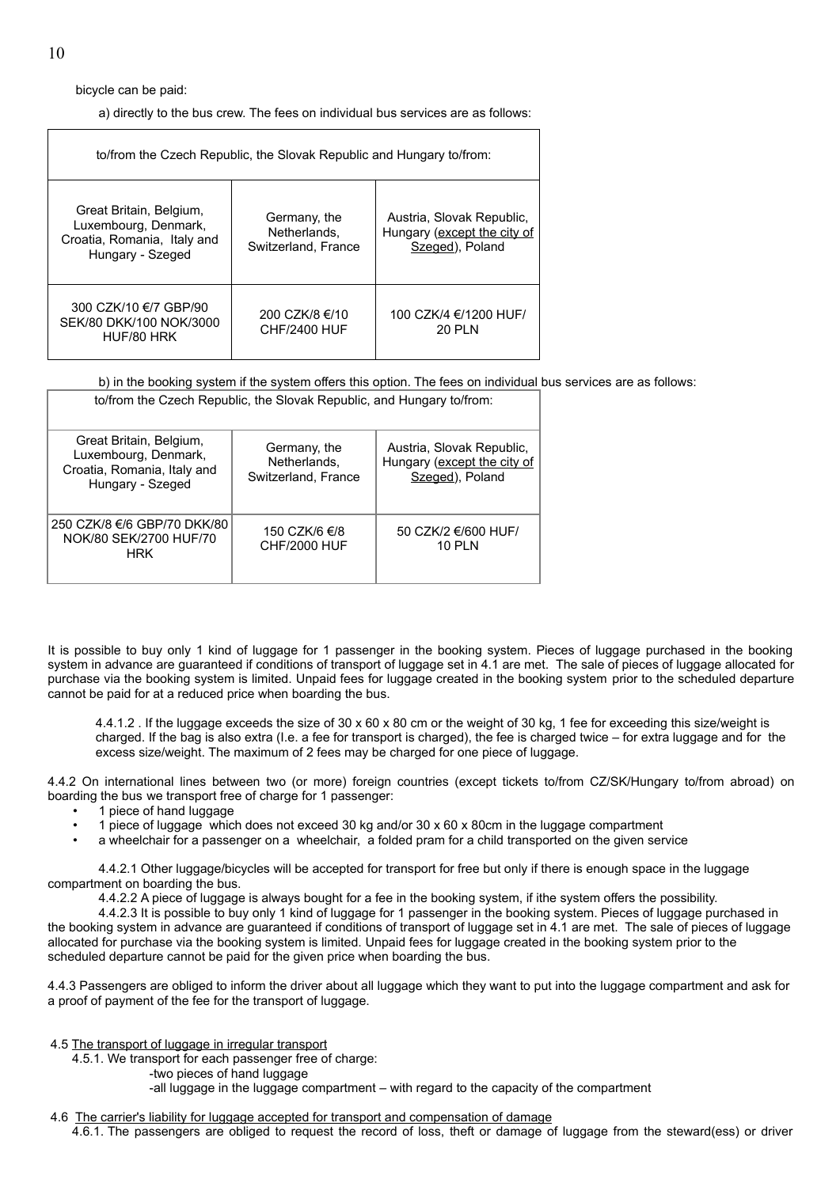bicycle can be paid:

a) directly to the bus crew. The fees on individual bus services are as follows:

| to/from the Czech Republic, the Slovak Republic and Hungary to/from:                               |                                                     |                                                                             |  |
|----------------------------------------------------------------------------------------------------|-----------------------------------------------------|-----------------------------------------------------------------------------|--|
| Great Britain, Belgium,<br>Luxembourg, Denmark,<br>Croatia, Romania, Italy and<br>Hungary - Szeged | Germany, the<br>Netherlands.<br>Switzerland, France | Austria, Slovak Republic,<br>Hungary (except the city of<br>Szeged), Poland |  |
| 300 CZK/10 €/7 GBP/90<br>SEK/80 DKK/100 NOK/3000<br>HUF/80 HRK                                     | 200 CZK/8 €/10<br><b>CHF/2400 HUF</b>               | 100 CZK/4 €/1200 HUF/<br><b>20 PLN</b>                                      |  |

b) in the booking system if the system offers this option. The fees on individual bus services are as follows:

| Great Britain, Belgium,<br>Luxembourg, Denmark,<br>Croatia, Romania, Italy and<br>Hungary - Szeged | Germany, the<br>Netherlands.<br>Switzerland, France | Austria, Slovak Republic,<br>Hungary (except the city of<br>Szeged), Poland |
|----------------------------------------------------------------------------------------------------|-----------------------------------------------------|-----------------------------------------------------------------------------|
| 250 CZK/8 €/6 GBP/70 DKK/80<br>NOK/80 SEK/2700 HUF/70<br><b>HRK</b>                                | 150 CZK/6 €/8<br>CHF/2000 HUF                       | 50 CZK/2 €/600 HUF/<br><b>10 PLN</b>                                        |

to/from the Czech Republic, the Slovak Republic, and Hungary to/from:

It is possible to buy only 1 kind of luggage for 1 passenger in the booking system. Pieces of luggage purchased in the booking system in advance are guaranteed if conditions of transport of luggage set in 4.1 are met. The sale of pieces of luggage allocated for purchase via the booking system is limited. Unpaid fees for luggage created in the booking system prior to the scheduled departure cannot be paid for at a reduced price when boarding the bus.

4.4.1.2 . If the luggage exceeds the size of 30 x 60 x 80 cm or the weight of 30 kg, 1 fee for exceeding this size/weight is charged. If the bag is also extra (I.e. a fee for transport is charged), the fee is charged twice – for extra luggage and for the excess size/weight. The maximum of 2 fees may be charged for one piece of luggage.

4.4.2 On international lines between two (or more) foreign countries (except tickets to/from CZ/SK/Hungary to/from abroad) on boarding the bus we transport free of charge for 1 passenger:

- 1 piece of hand luggage
- 1 piece of luggage which does not exceed 30 kg and/or 30 x 60 x 80cm in the luggage compartment
- a wheelchair for a passenger on a wheelchair, a folded pram for a child transported on the given service

4.4.2.1 Other luggage/bicycles will be accepted for transport for free but only if there is enough space in the luggage compartment on boarding the bus.

4.4.2.2 A piece of luggage is always bought for a fee in the booking system, if ithe system offers the possibility.

4.4.2.3 It is possible to buy only 1 kind of luggage for 1 passenger in the booking system. Pieces of luggage purchased in the booking system in advance are guaranteed if conditions of transport of luggage set in 4.1 are met. The sale of pieces of luggage allocated for purchase via the booking system is limited. Unpaid fees for luggage created in the booking system prior to the scheduled departure cannot be paid for the given price when boarding the bus.

4.4.3 Passengers are obliged to inform the driver about all luggage which they want to put into the luggage compartment and ask for a proof of payment of the fee for the transport of luggage.

4.5 The transport of luggage in irregular transport

4.5.1. We transport for each passenger free of charge:

-two pieces of hand luggage

-all luggage in the luggage compartment – with regard to the capacity of the compartment

4.6 The carrier's liability for luggage accepted for transport and compensation of damage

4.6.1. The passengers are obliged to request the record of loss, theft or damage of luggage from the steward(ess) or driver